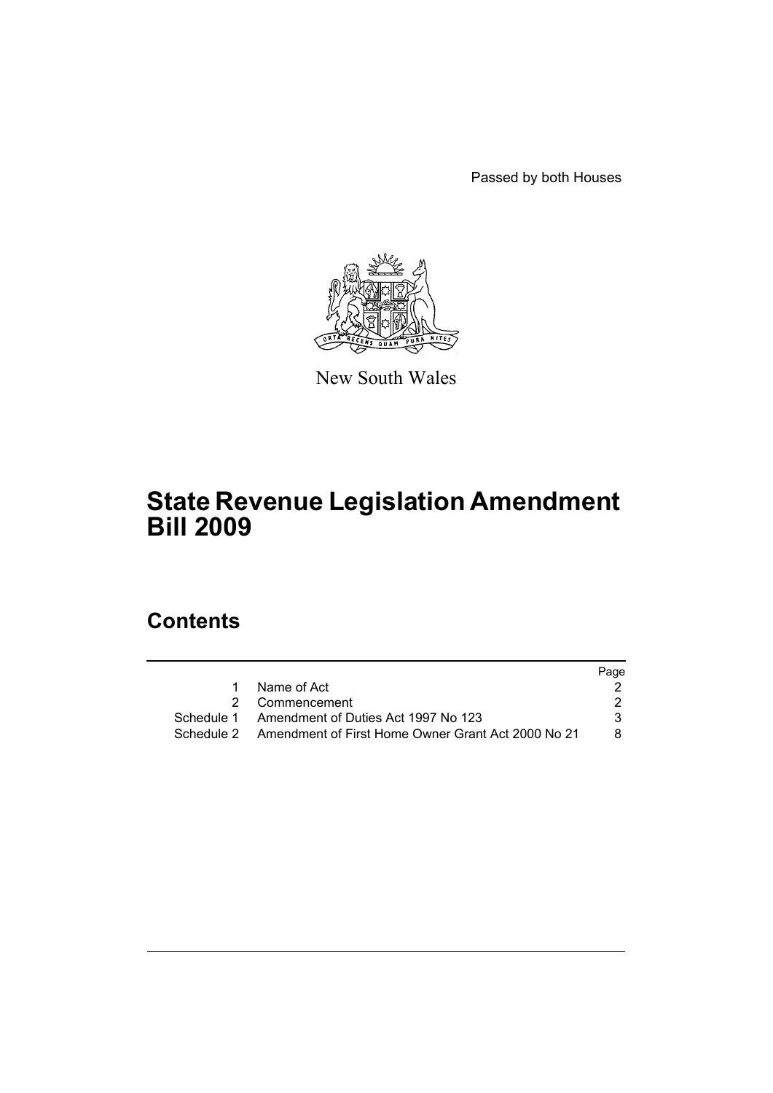Passed by both Houses



New South Wales

# **State Revenue Legislation Amendment Bill 2009**

# **Contents**

|    |                                                               | Page |
|----|---------------------------------------------------------------|------|
| 1. | Name of Act                                                   |      |
|    | 2 Commencement                                                |      |
|    | Schedule 1 Amendment of Duties Act 1997 No 123                |      |
|    | Schedule 2 Amendment of First Home Owner Grant Act 2000 No 21 | 8.   |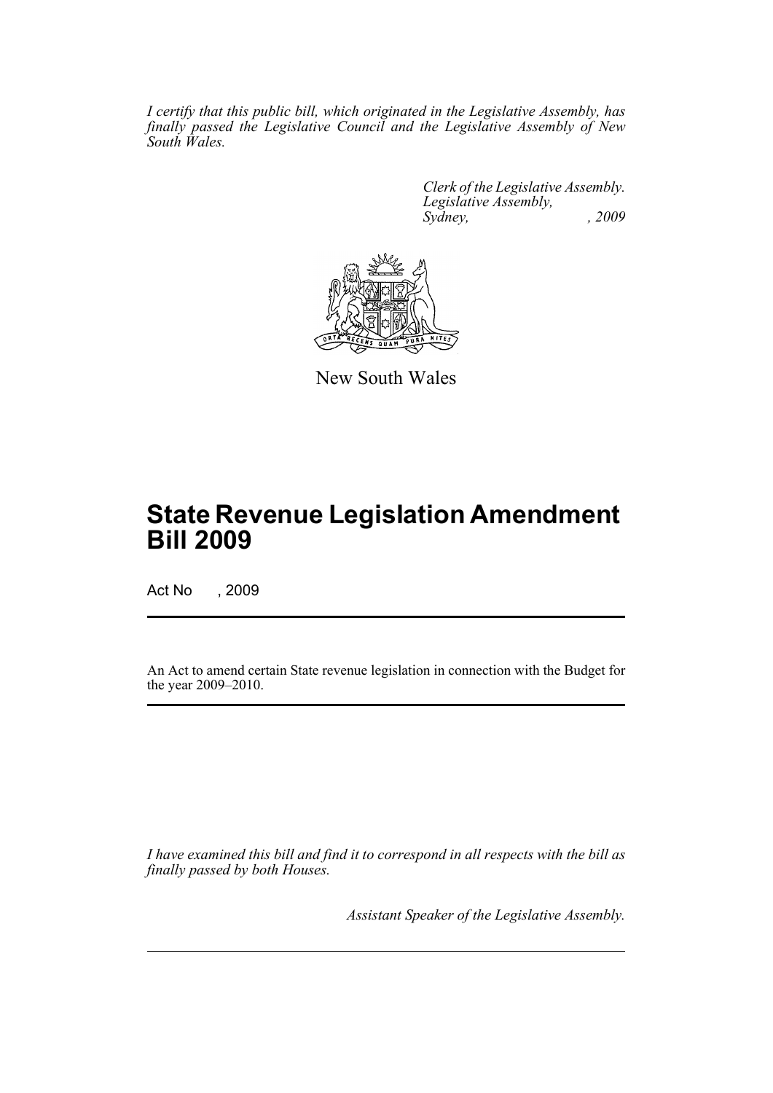*I certify that this public bill, which originated in the Legislative Assembly, has finally passed the Legislative Council and the Legislative Assembly of New South Wales.*

> *Clerk of the Legislative Assembly. Legislative Assembly, Sydney, , 2009*



New South Wales

# **State Revenue Legislation Amendment Bill 2009**

Act No , 2009

An Act to amend certain State revenue legislation in connection with the Budget for the year 2009–2010.

*I have examined this bill and find it to correspond in all respects with the bill as finally passed by both Houses.*

*Assistant Speaker of the Legislative Assembly.*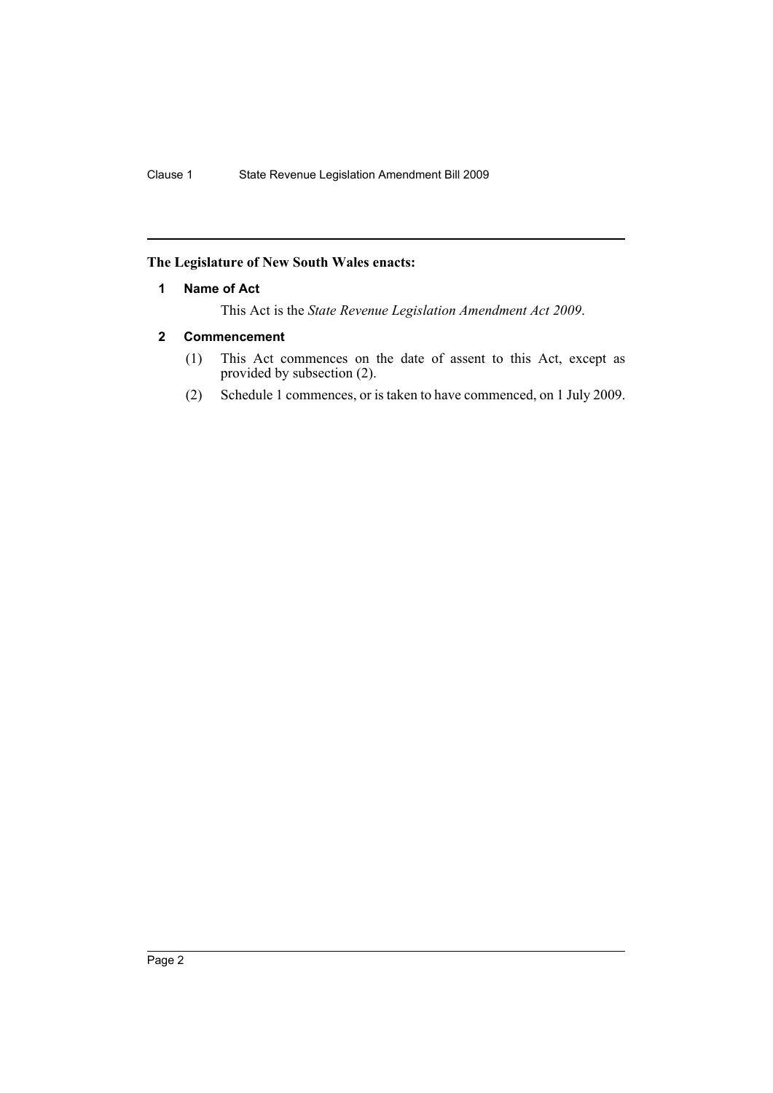#### <span id="page-2-0"></span>**The Legislature of New South Wales enacts:**

#### **1 Name of Act**

This Act is the *State Revenue Legislation Amendment Act 2009*.

### <span id="page-2-1"></span>**2 Commencement**

- (1) This Act commences on the date of assent to this Act, except as provided by subsection (2).
- (2) Schedule 1 commences, or is taken to have commenced, on 1 July 2009.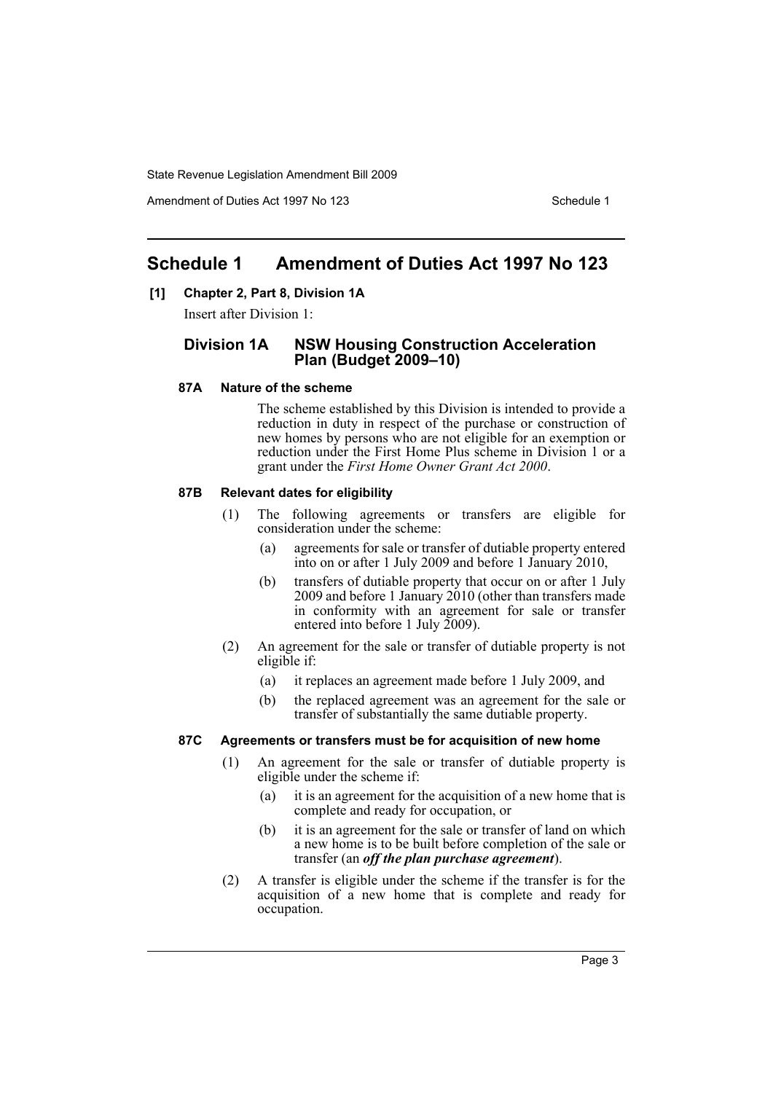Amendment of Duties Act 1997 No 123 Schedule 1

## <span id="page-3-0"></span>**Schedule 1 Amendment of Duties Act 1997 No 123**

### **[1] Chapter 2, Part 8, Division 1A**

Insert after Division 1:

### **Division 1A NSW Housing Construction Acceleration Plan (Budget 2009–10)**

#### **87A Nature of the scheme**

The scheme established by this Division is intended to provide a reduction in duty in respect of the purchase or construction of new homes by persons who are not eligible for an exemption or reduction under the First Home Plus scheme in Division 1 or a grant under the *First Home Owner Grant Act 2000*.

#### **87B Relevant dates for eligibility**

- (1) The following agreements or transfers are eligible for consideration under the scheme:
	- (a) agreements for sale or transfer of dutiable property entered into on or after 1 July 2009 and before 1 January 2010,
	- (b) transfers of dutiable property that occur on or after 1 July 2009 and before 1 January  $2010$  (other than transfers made in conformity with an agreement for sale or transfer entered into before 1 July 2009).
- (2) An agreement for the sale or transfer of dutiable property is not eligible if:
	- (a) it replaces an agreement made before 1 July 2009, and
	- (b) the replaced agreement was an agreement for the sale or transfer of substantially the same dutiable property.

#### **87C Agreements or transfers must be for acquisition of new home**

- (1) An agreement for the sale or transfer of dutiable property is eligible under the scheme if:
	- (a) it is an agreement for the acquisition of a new home that is complete and ready for occupation, or
	- (b) it is an agreement for the sale or transfer of land on which a new home is to be built before completion of the sale or transfer (an *off the plan purchase agreement*).
- (2) A transfer is eligible under the scheme if the transfer is for the acquisition of a new home that is complete and ready for occupation.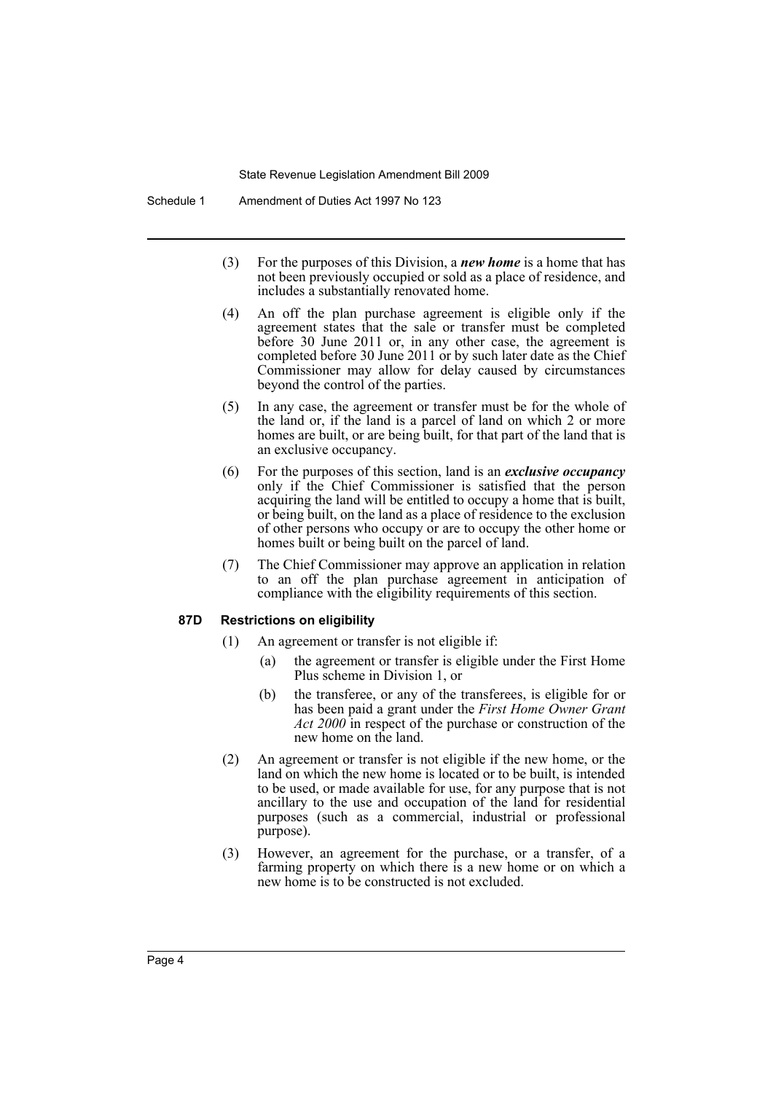- (3) For the purposes of this Division, a *new home* is a home that has not been previously occupied or sold as a place of residence, and includes a substantially renovated home.
- (4) An off the plan purchase agreement is eligible only if the agreement states that the sale or transfer must be completed before 30 June 2011 or, in any other case, the agreement is completed before 30 June 2011 or by such later date as the Chief Commissioner may allow for delay caused by circumstances beyond the control of the parties.
- (5) In any case, the agreement or transfer must be for the whole of the land or, if the land is a parcel of land on which 2 or more homes are built, or are being built, for that part of the land that is an exclusive occupancy.
- (6) For the purposes of this section, land is an *exclusive occupancy* only if the Chief Commissioner is satisfied that the person acquiring the land will be entitled to occupy a home that is built, or being built, on the land as a place of residence to the exclusion of other persons who occupy or are to occupy the other home or homes built or being built on the parcel of land.
- (7) The Chief Commissioner may approve an application in relation to an off the plan purchase agreement in anticipation of compliance with the eligibility requirements of this section.

#### **87D Restrictions on eligibility**

- (1) An agreement or transfer is not eligible if:
	- (a) the agreement or transfer is eligible under the First Home Plus scheme in Division 1, or
	- (b) the transferee, or any of the transferees, is eligible for or has been paid a grant under the *First Home Owner Grant Act 2000* in respect of the purchase or construction of the new home on the land.
- (2) An agreement or transfer is not eligible if the new home, or the land on which the new home is located or to be built, is intended to be used, or made available for use, for any purpose that is not ancillary to the use and occupation of the land for residential purposes (such as a commercial, industrial or professional purpose).
- (3) However, an agreement for the purchase, or a transfer, of a farming property on which there is a new home or on which a new home is to be constructed is not excluded.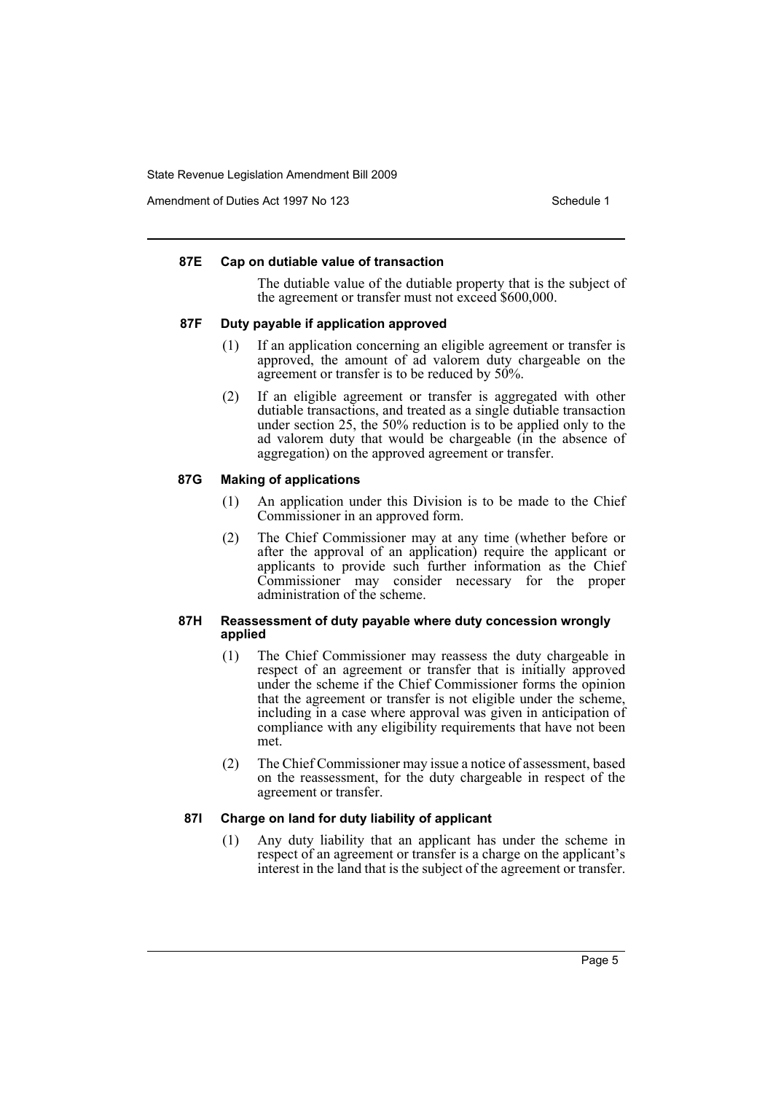Amendment of Duties Act 1997 No 123 Schedule 1

#### **87E Cap on dutiable value of transaction**

The dutiable value of the dutiable property that is the subject of the agreement or transfer must not exceed \$600,000.

#### **87F Duty payable if application approved**

- (1) If an application concerning an eligible agreement or transfer is approved, the amount of ad valorem duty chargeable on the agreement or transfer is to be reduced by 50%.
- (2) If an eligible agreement or transfer is aggregated with other dutiable transactions, and treated as a single dutiable transaction under section 25, the 50% reduction is to be applied only to the ad valorem duty that would be chargeable (in the absence of aggregation) on the approved agreement or transfer.

#### **87G Making of applications**

- (1) An application under this Division is to be made to the Chief Commissioner in an approved form.
- (2) The Chief Commissioner may at any time (whether before or after the approval of an application) require the applicant or applicants to provide such further information as the Chief Commissioner may consider necessary for the proper administration of the scheme.

#### **87H Reassessment of duty payable where duty concession wrongly applied**

- (1) The Chief Commissioner may reassess the duty chargeable in respect of an agreement or transfer that is initially approved under the scheme if the Chief Commissioner forms the opinion that the agreement or transfer is not eligible under the scheme, including in a case where approval was given in anticipation of compliance with any eligibility requirements that have not been met.
- (2) The Chief Commissioner may issue a notice of assessment, based on the reassessment, for the duty chargeable in respect of the agreement or transfer.

#### **87I Charge on land for duty liability of applicant**

(1) Any duty liability that an applicant has under the scheme in respect of an agreement or transfer is a charge on the applicant's interest in the land that is the subject of the agreement or transfer.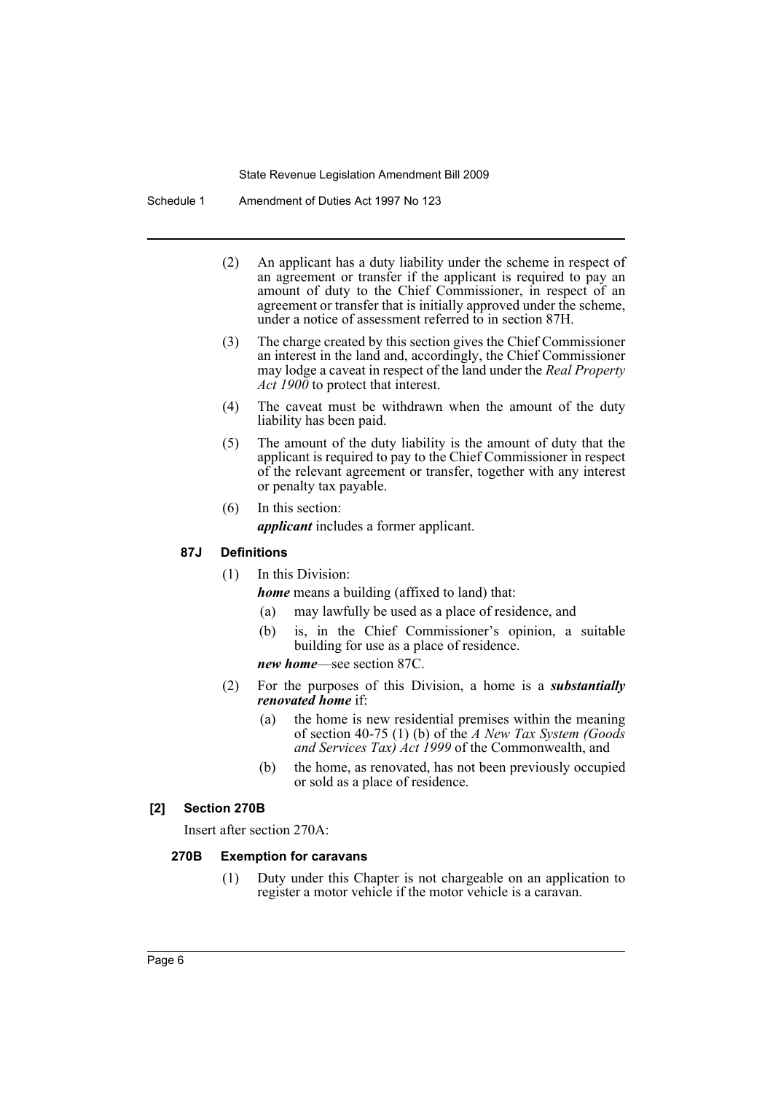Schedule 1 Amendment of Duties Act 1997 No 123

- (2) An applicant has a duty liability under the scheme in respect of an agreement or transfer if the applicant is required to pay an amount of duty to the Chief Commissioner, in respect of an agreement or transfer that is initially approved under the scheme, under a notice of assessment referred to in section 87H.
- (3) The charge created by this section gives the Chief Commissioner an interest in the land and, accordingly, the Chief Commissioner may lodge a caveat in respect of the land under the *Real Property Act 1900* to protect that interest.
- (4) The caveat must be withdrawn when the amount of the duty liability has been paid.
- (5) The amount of the duty liability is the amount of duty that the applicant is required to pay to the Chief Commissioner in respect of the relevant agreement or transfer, together with any interest or penalty tax payable.
- (6) In this section: *applicant* includes a former applicant.

#### **87J Definitions**

(1) In this Division:

*home* means a building (affixed to land) that:

- (a) may lawfully be used as a place of residence, and
- (b) is, in the Chief Commissioner's opinion, a suitable building for use as a place of residence.

*new home*—see section 87C.

- (2) For the purposes of this Division, a home is a *substantially renovated home* if:
	- (a) the home is new residential premises within the meaning of section 40-75 (1) (b) of the *A New Tax System (Goods and Services Tax) Act 1999* of the Commonwealth, and
	- (b) the home, as renovated, has not been previously occupied or sold as a place of residence.

#### **[2] Section 270B**

Insert after section 270A:

#### **270B Exemption for caravans**

(1) Duty under this Chapter is not chargeable on an application to register a motor vehicle if the motor vehicle is a caravan.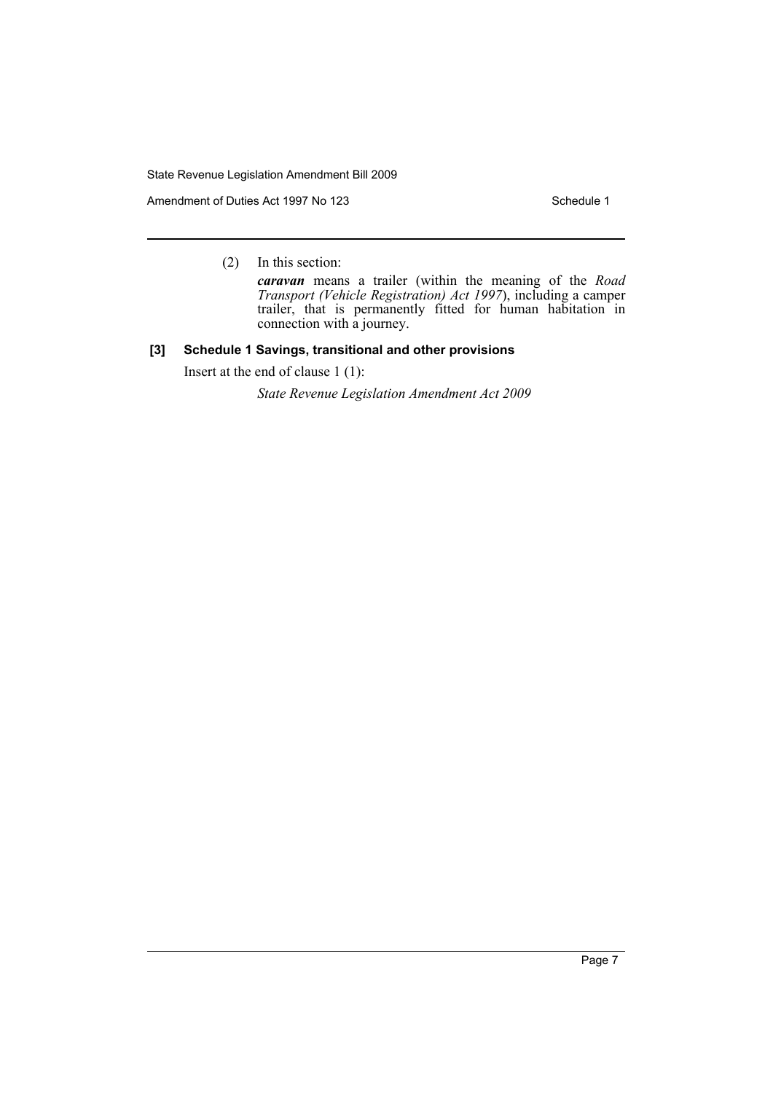Amendment of Duties Act 1997 No 123 Schedule 1

(2) In this section:

*caravan* means a trailer (within the meaning of the *Road Transport (Vehicle Registration) Act 1997*), including a camper trailer, that is permanently fitted for human habitation in connection with a journey.

#### **[3] Schedule 1 Savings, transitional and other provisions**

Insert at the end of clause 1 (1):

*State Revenue Legislation Amendment Act 2009*